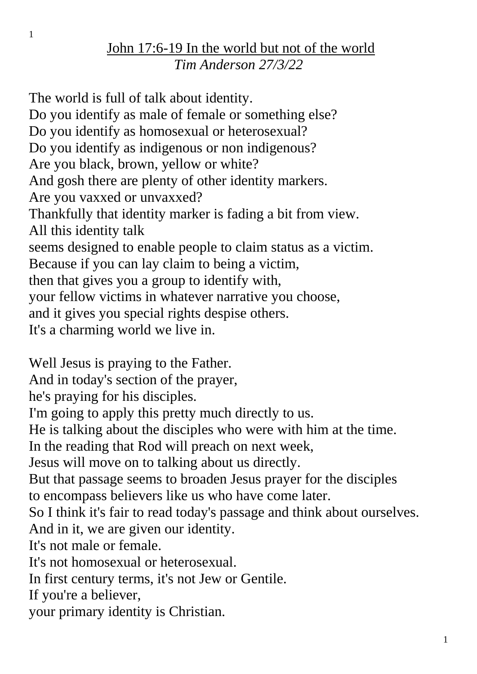The world is full of talk about identity. Do you identify as male of female or something else? Do you identify as homosexual or heterosexual? Do you identify as indigenous or non indigenous? Are you black, brown, yellow or white? And gosh there are plenty of other identity markers. Are you vaxxed or unvaxxed? Thankfully that identity marker is fading a bit from view. All this identity talk seems designed to enable people to claim status as a victim. Because if you can lay claim to being a victim, then that gives you a group to identify with, your fellow victims in whatever narrative you choose, and it gives you special rights despise others. It's a charming world we live in.

Well Jesus is praying to the Father. And in today's section of the prayer, he's praying for his disciples. I'm going to apply this pretty much directly to us. He is talking about the disciples who were with him at the time. In the reading that Rod will preach on next week, Jesus will move on to talking about us directly. But that passage seems to broaden Jesus prayer for the disciples to encompass believers like us who have come later. So I think it's fair to read today's passage and think about ourselves. And in it, we are given our identity. It's not male or female. It's not homosexual or heterosexual. In first century terms, it's not Jew or Gentile. If you're a believer, your primary identity is Christian.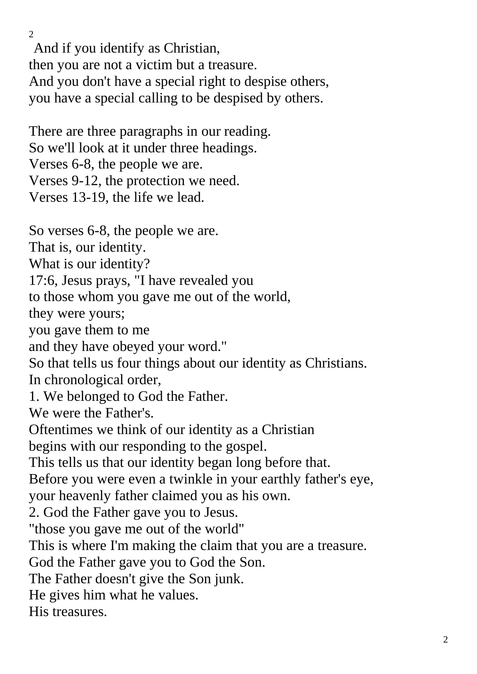And if you identify as Christian, then you are not a victim but a treasure. And you don't have a special right to despise others, you have a special calling to be despised by others.

There are three paragraphs in our reading. So we'll look at it under three headings. Verses 6-8, the people we are. Verses 9-12, the protection we need. Verses 13-19, the life we lead.

 $\mathcal{L}$ 

So verses 6-8, the people we are. That is, our identity. What is our identity? 17:6, Jesus prays, "I have revealed you to those whom you gave me out of the world, they were yours; you gave them to me and they have obeyed your word." So that tells us four things about our identity as Christians. In chronological order, 1. We belonged to God the Father. We were the Father's. Oftentimes we think of our identity as a Christian begins with our responding to the gospel. This tells us that our identity began long before that. Before you were even a twinkle in your earthly father's eye, your heavenly father claimed you as his own. 2. God the Father gave you to Jesus. "those you gave me out of the world" This is where I'm making the claim that you are a treasure. God the Father gave you to God the Son. The Father doesn't give the Son junk. He gives him what he values. His treasures.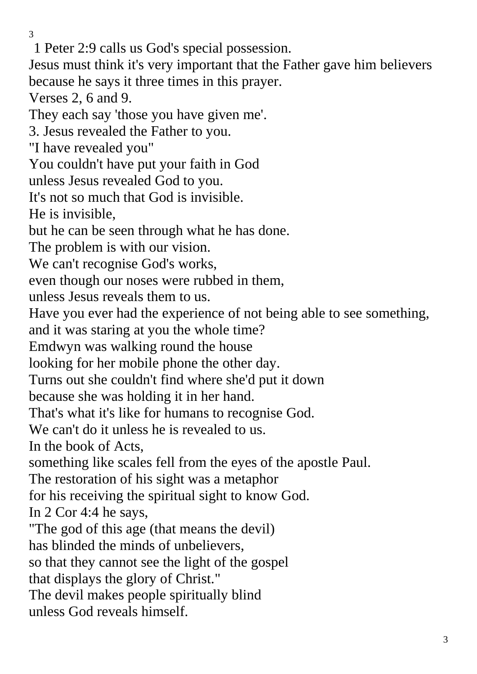1 Peter 2:9 calls us God's special possession. Jesus must think it's very important that the Father gave him believers because he says it three times in this prayer. Verses 2, 6 and 9. They each say 'those you have given me'. 3. Jesus revealed the Father to you. "I have revealed you" You couldn't have put your faith in God unless Jesus revealed God to you. It's not so much that God is invisible. He is invisible, but he can be seen through what he has done. The problem is with our vision. We can't recognise God's works, even though our noses were rubbed in them, unless Jesus reveals them to us. Have you ever had the experience of not being able to see something, and it was staring at you the whole time? Emdwyn was walking round the house looking for her mobile phone the other day. Turns out she couldn't find where she'd put it down because she was holding it in her hand. That's what it's like for humans to recognise God. We can't do it unless he is revealed to us. In the book of Acts, something like scales fell from the eyes of the apostle Paul. The restoration of his sight was a metaphor for his receiving the spiritual sight to know God. In 2 Cor 4:4 he says, "The god of this age (that means the devil) has blinded the minds of unbelievers, so that they cannot see the light of the gospel that displays the glory of Christ." The devil makes people spiritually blind unless God reveals himself.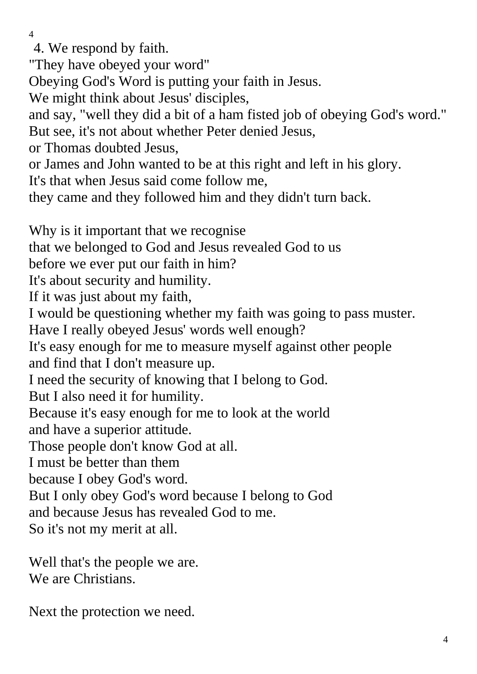4. We respond by faith.

"They have obeyed your word"

Obeying God's Word is putting your faith in Jesus.

We might think about Jesus' disciples,

and say, "well they did a bit of a ham fisted job of obeying God's word." But see, it's not about whether Peter denied Jesus,

or Thomas doubted Jesus,

or James and John wanted to be at this right and left in his glory.

It's that when Jesus said come follow me,

they came and they followed him and they didn't turn back.

Why is it important that we recognise that we belonged to God and Jesus revealed God to us before we ever put our faith in him? It's about security and humility. If it was just about my faith, I would be questioning whether my faith was going to pass muster. Have I really obeyed Jesus' words well enough? It's easy enough for me to measure myself against other people and find that I don't measure up. I need the security of knowing that I belong to God. But I also need it for humility. Because it's easy enough for me to look at the world and have a superior attitude. Those people don't know God at all. I must be better than them because I obey God's word. But I only obey God's word because I belong to God and because Jesus has revealed God to me. So it's not my merit at all.

Well that's the people we are. We are Christians.

Next the protection we need.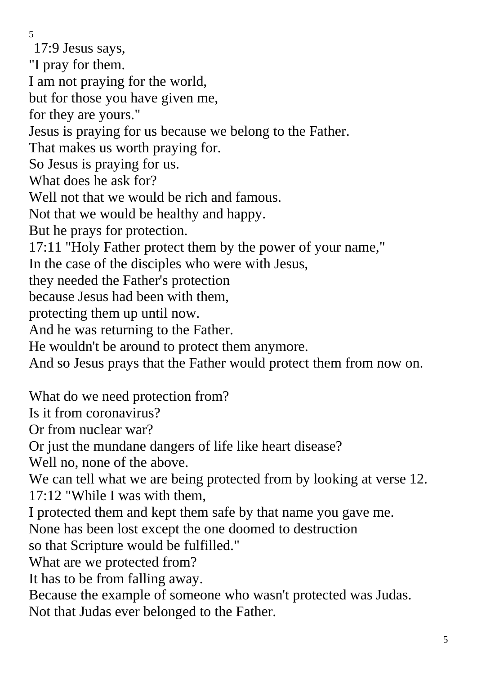17:9 Jesus says,

"I pray for them.

I am not praying for the world,

but for those you have given me,

for they are yours."

Jesus is praying for us because we belong to the Father.

That makes us worth praying for.

So Jesus is praying for us.

What does he ask for?

Well not that we would be rich and famous.

Not that we would be healthy and happy.

But he prays for protection.

17:11 "Holy Father protect them by the power of your name,"

In the case of the disciples who were with Jesus,

they needed the Father's protection

because Jesus had been with them,

protecting them up until now.

And he was returning to the Father.

He wouldn't be around to protect them anymore.

And so Jesus prays that the Father would protect them from now on.

What do we need protection from?

Is it from coronavirus?

Or from nuclear war?

Or just the mundane dangers of life like heart disease?

Well no, none of the above.

We can tell what we are being protected from by looking at verse 12. 17:12 "While I was with them,

I protected them and kept them safe by that name you gave me.

None has been lost except the one doomed to destruction

so that Scripture would be fulfilled."

What are we protected from?

It has to be from falling away.

Because the example of someone who wasn't protected was Judas. Not that Judas ever belonged to the Father.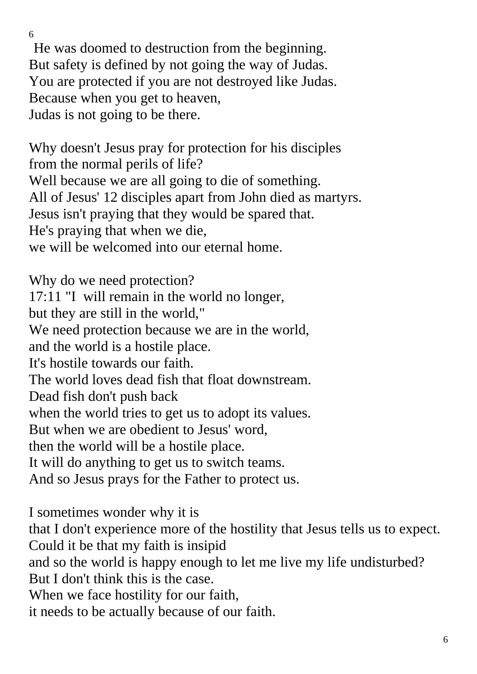He was doomed to destruction from the beginning. But safety is defined by not going the way of Judas. You are protected if you are not destroyed like Judas. Because when you get to heaven, Judas is not going to be there.

Why doesn't Jesus pray for protection for his disciples from the normal perils of life? Well because we are all going to die of something. All of Jesus' 12 disciples apart from John died as martyrs. Jesus isn't praying that they would be spared that. He's praying that when we die, we will be welcomed into our eternal home.

Why do we need protection? 17:11 "I will remain in the world no longer, but they are still in the world," We need protection because we are in the world, and the world is a hostile place. It's hostile towards our faith. The world loves dead fish that float downstream. Dead fish don't push back when the world tries to get us to adopt its values. But when we are obedient to Jesus' word, then the world will be a hostile place. It will do anything to get us to switch teams. And so Jesus prays for the Father to protect us.

I sometimes wonder why it is that I don't experience more of the hostility that Jesus tells us to expect. Could it be that my faith is insipid and so the world is happy enough to let me live my life undisturbed? But I don't think this is the case. When we face hostility for our faith, it needs to be actually because of our faith.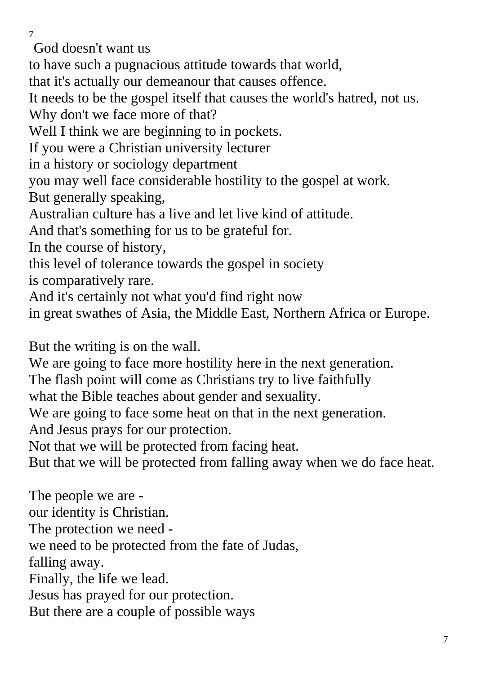God doesn't want us

to have such a pugnacious attitude towards that world,

that it's actually our demeanour that causes offence.

It needs to be the gospel itself that causes the world's hatred, not us. Why don't we face more of that?

Well I think we are beginning to in pockets.

If you were a Christian university lecturer

in a history or sociology department

you may well face considerable hostility to the gospel at work.

But generally speaking,

Australian culture has a live and let live kind of attitude.

And that's something for us to be grateful for.

In the course of history,

this level of tolerance towards the gospel in society

is comparatively rare.

And it's certainly not what you'd find right now

in great swathes of Asia, the Middle East, Northern Africa or Europe.

But the writing is on the wall.

We are going to face more hostility here in the next generation.

The flash point will come as Christians try to live faithfully

what the Bible teaches about gender and sexuality.

We are going to face some heat on that in the next generation.

And Jesus prays for our protection.

Not that we will be protected from facing heat.

But that we will be protected from falling away when we do face heat.

The people we are our identity is Christian. The protection we need we need to be protected from the fate of Judas, falling away. Finally, the life we lead. Jesus has prayed for our protection. But there are a couple of possible ways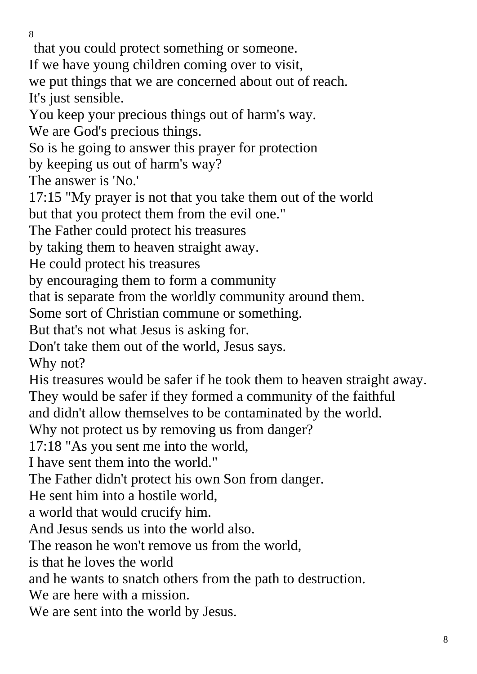that you could protect something or someone.

If we have young children coming over to visit,

we put things that we are concerned about out of reach. It's just sensible.

You keep your precious things out of harm's way.

We are God's precious things.

So is he going to answer this prayer for protection

by keeping us out of harm's way?

The answer is 'No.'

17:15 "My prayer is not that you take them out of the world but that you protect them from the evil one."

The Father could protect his treasures

by taking them to heaven straight away.

He could protect his treasures

by encouraging them to form a community

that is separate from the worldly community around them.

Some sort of Christian commune or something.

But that's not what Jesus is asking for.

Don't take them out of the world, Jesus says.

Why not?

His treasures would be safer if he took them to heaven straight away. They would be safer if they formed a community of the faithful

and didn't allow themselves to be contaminated by the world.

Why not protect us by removing us from danger?

17:18 "As you sent me into the world,

I have sent them into the world."

The Father didn't protect his own Son from danger.

He sent him into a hostile world,

a world that would crucify him.

And Jesus sends us into the world also.

The reason he won't remove us from the world,

is that he loves the world

and he wants to snatch others from the path to destruction.

We are here with a mission.

We are sent into the world by Jesus.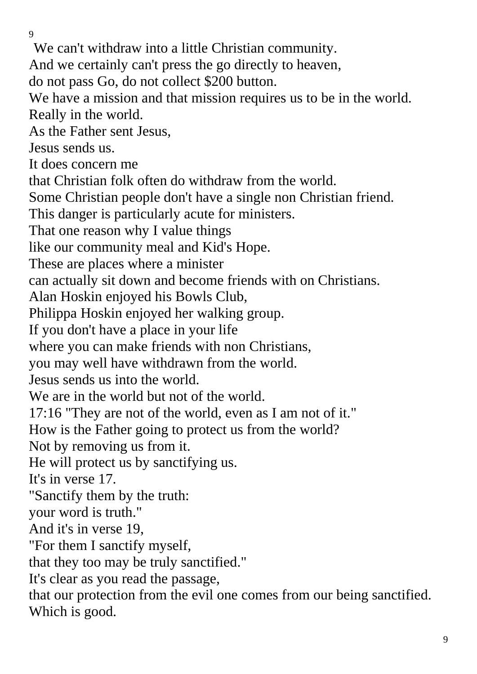We can't withdraw into a little Christian community. And we certainly can't press the go directly to heaven, do not pass Go, do not collect \$200 button. We have a mission and that mission requires us to be in the world. Really in the world. As the Father sent Jesus, Jesus sends us. It does concern me that Christian folk often do withdraw from the world. Some Christian people don't have a single non Christian friend. This danger is particularly acute for ministers. That one reason why I value things like our community meal and Kid's Hope. These are places where a minister can actually sit down and become friends with on Christians. Alan Hoskin enjoyed his Bowls Club, Philippa Hoskin enjoyed her walking group. If you don't have a place in your life where you can make friends with non Christians, you may well have withdrawn from the world. Jesus sends us into the world. We are in the world but not of the world. 17:16 "They are not of the world, even as I am not of it." How is the Father going to protect us from the world? Not by removing us from it. He will protect us by sanctifying us. It's in verse 17. "Sanctify them by the truth: your word is truth." And it's in verse 19, "For them I sanctify myself, that they too may be truly sanctified." It's clear as you read the passage, that our protection from the evil one comes from our being sanctified. Which is good.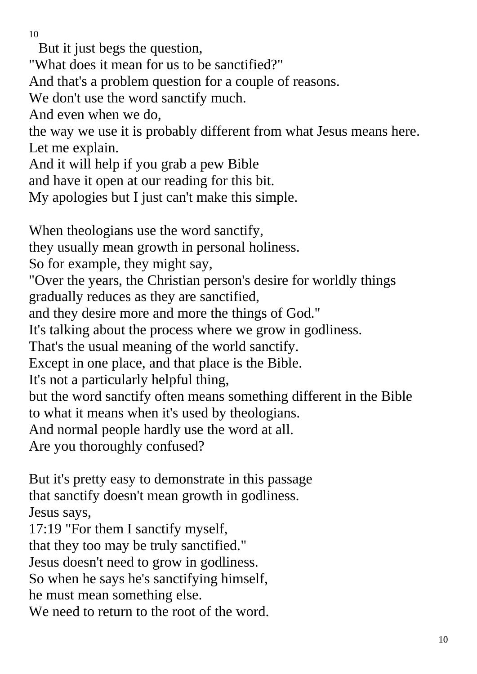But it just begs the question,

"What does it mean for us to be sanctified?"

And that's a problem question for a couple of reasons.

We don't use the word sanctify much.

And even when we do,

the way we use it is probably different from what Jesus means here. Let me explain.

And it will help if you grab a pew Bible

and have it open at our reading for this bit.

My apologies but I just can't make this simple.

When theologians use the word sanctify,

they usually mean growth in personal holiness.

So for example, they might say,

"Over the years, the Christian person's desire for worldly things gradually reduces as they are sanctified,

and they desire more and more the things of God."

It's talking about the process where we grow in godliness.

That's the usual meaning of the world sanctify.

Except in one place, and that place is the Bible.

It's not a particularly helpful thing,

but the word sanctify often means something different in the Bible to what it means when it's used by theologians.

And normal people hardly use the word at all.

Are you thoroughly confused?

But it's pretty easy to demonstrate in this passage that sanctify doesn't mean growth in godliness. Jesus says,

17:19 "For them I sanctify myself,

that they too may be truly sanctified."

Jesus doesn't need to grow in godliness.

So when he says he's sanctifying himself,

he must mean something else.

We need to return to the root of the word.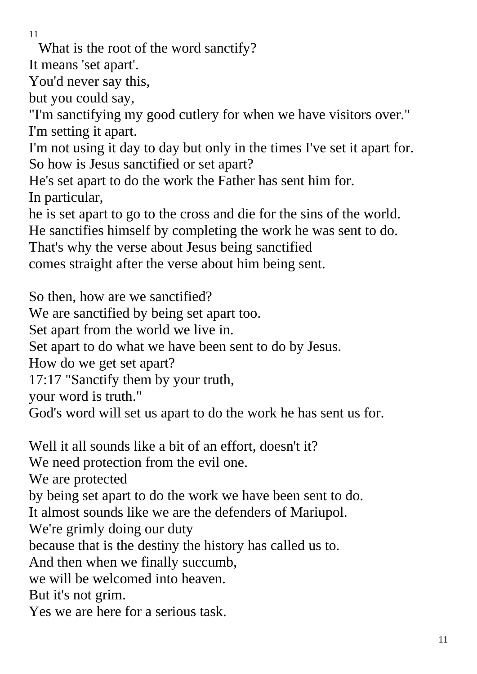What is the root of the word sanctify?

It means 'set apart'.

You'd never say this,

but you could say,

"I'm sanctifying my good cutlery for when we have visitors over." I'm setting it apart.

I'm not using it day to day but only in the times I've set it apart for. So how is Jesus sanctified or set apart?

He's set apart to do the work the Father has sent him for.

In particular,

he is set apart to go to the cross and die for the sins of the world.

He sanctifies himself by completing the work he was sent to do.

That's why the verse about Jesus being sanctified

comes straight after the verse about him being sent.

So then, how are we sanctified?

We are sanctified by being set apart too.

Set apart from the world we live in.

Set apart to do what we have been sent to do by Jesus.

How do we get set apart?

17:17 "Sanctify them by your truth,

your word is truth."

God's word will set us apart to do the work he has sent us for.

Well it all sounds like a bit of an effort, doesn't it? We need protection from the evil one. We are protected by being set apart to do the work we have been sent to do. It almost sounds like we are the defenders of Mariupol. We're grimly doing our duty because that is the destiny the history has called us to. And then when we finally succumb, we will be welcomed into heaven. But it's not grim.

Yes we are here for a serious task.